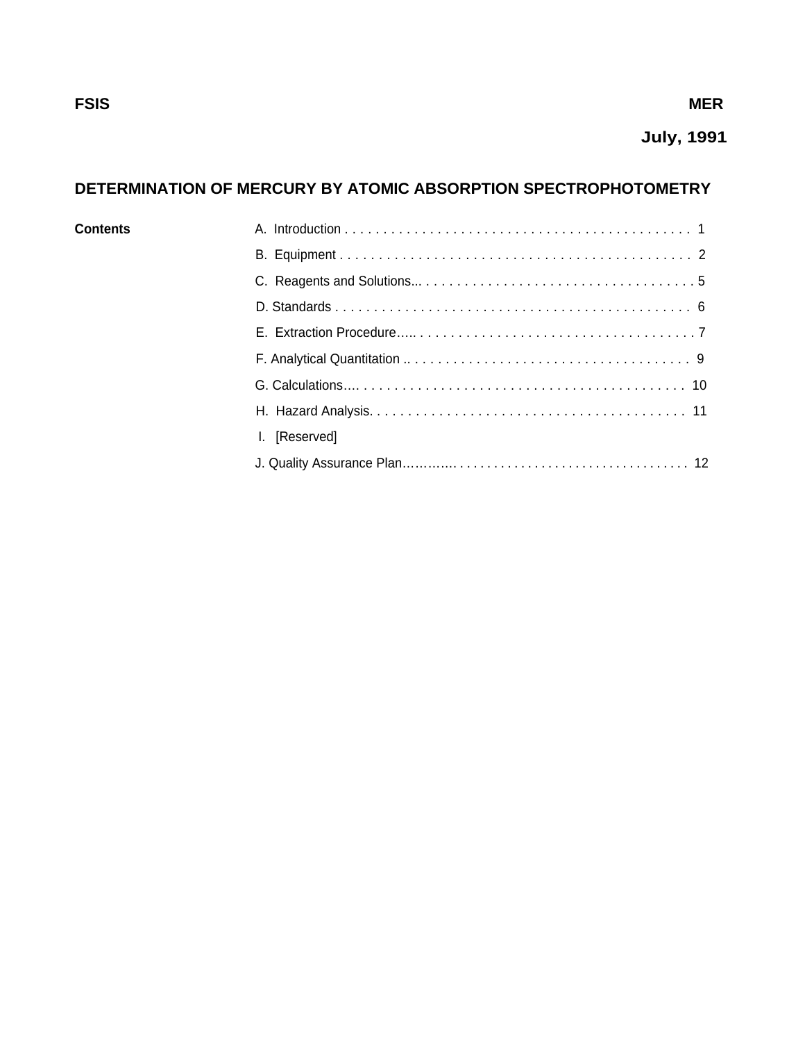# **July, 1991**

# **DETERMINATION OF MERCURY BY ATOMIC ABSORPTION SPECTROPHOTOMETRY**

| <b>Contents</b> |               |
|-----------------|---------------|
|                 |               |
|                 |               |
|                 |               |
|                 |               |
|                 |               |
|                 |               |
|                 |               |
|                 | I. [Reserved] |
|                 |               |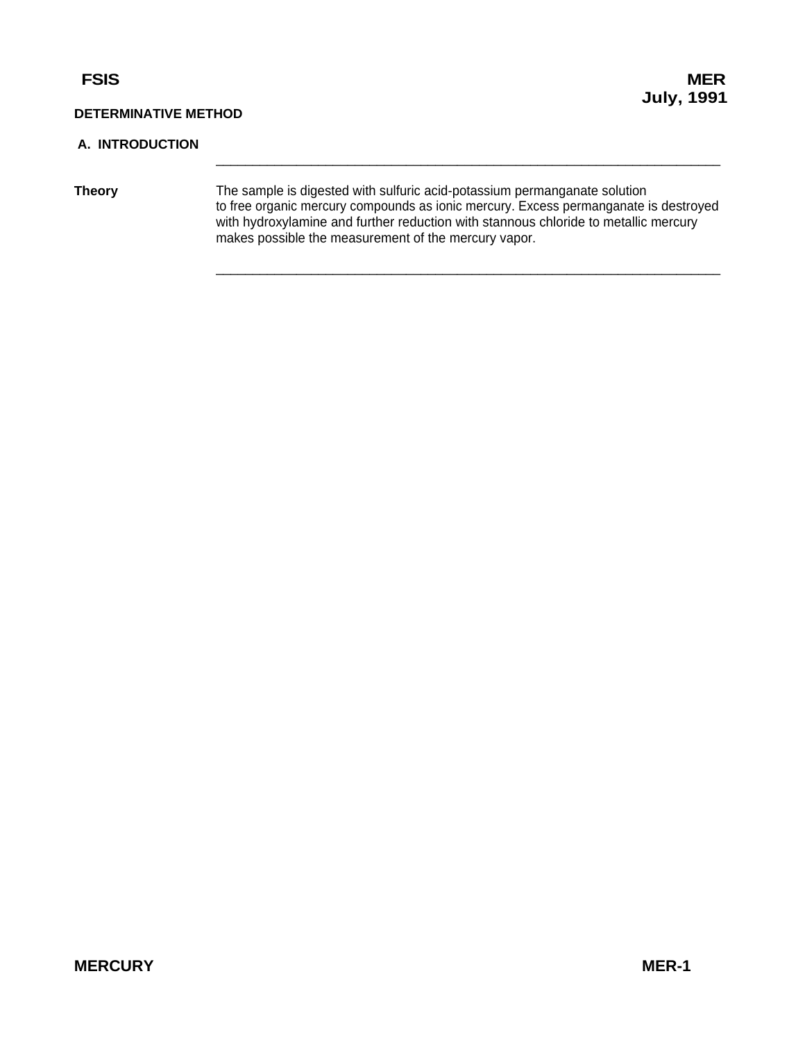#### <span id="page-1-0"></span>**A. INTRODUCTION**

**Theory** The sample is digested with sulfuric acid-potassium permanganate solution to free organic mercury compounds as ionic mercury. Excess permanganate is destroyed with hydroxylamine and further reduction with stannous chloride to metallic mercury makes possible the measurement of the mercury vapor.

 $\_$  , and the set of the set of the set of the set of the set of the set of the set of the set of the set of the set of the set of the set of the set of the set of the set of the set of the set of the set of the set of th

 $\_$  , and the set of the set of the set of the set of the set of the set of the set of the set of the set of the set of the set of the set of the set of the set of the set of the set of the set of the set of the set of th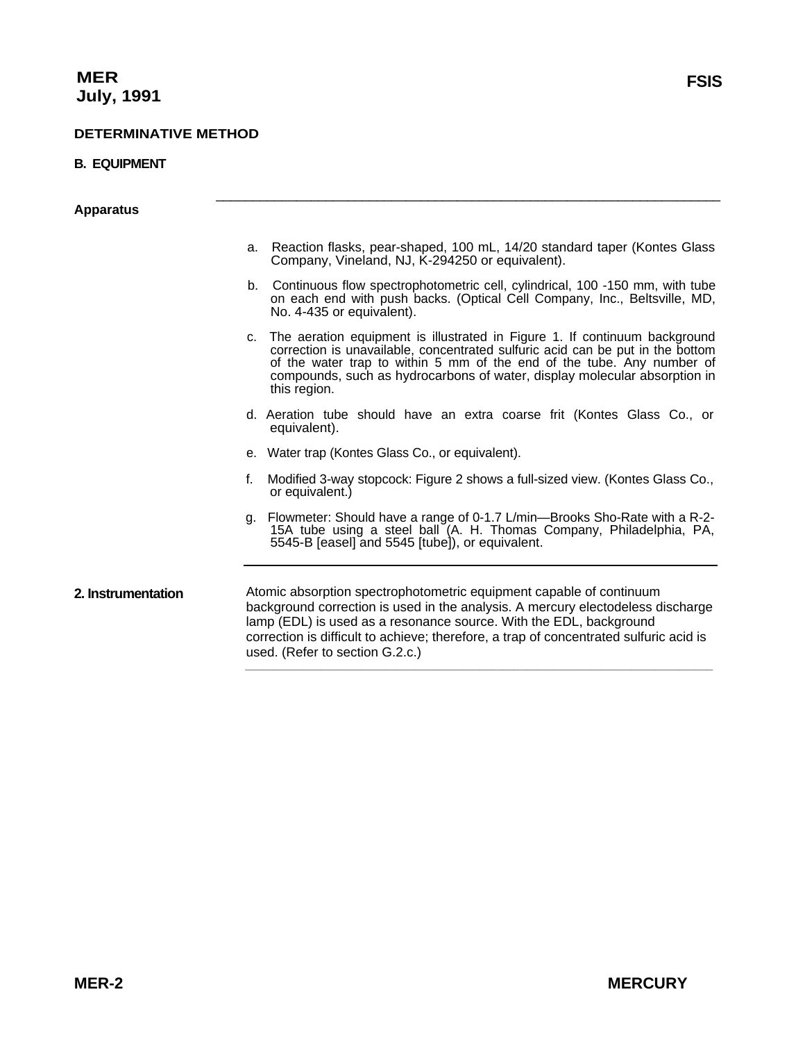#### <span id="page-2-0"></span>**B. EQUIPMENT**

**Apparatus** 

a. Reaction flasks, pear-shaped, 100 mL, 14/20 standard taper (Kontes Glass Company, Vineland, NJ, K-294250 or equivalent).

 $\_$  , and the set of the set of the set of the set of the set of the set of the set of the set of the set of the set of the set of the set of the set of the set of the set of the set of the set of the set of the set of th

- b. Continuous flow spectrophotometric cell, cylindrical, 100 -150 mm, with tube on each end with push backs. (Optical Cell Company, Inc., Beltsville, MD, No. 4-435 or equivalent).
- c. The aeration equipment is illustrated in Figure 1. If continuum background correction is unavailable, concentrated sulfuric acid can be put in the bottom of the water trap to within 5 mm of the end of the tube. Any number of compounds, such as hydrocarbons of water, display molecular absorption in this region.
- d. Aeration tube should have an extra coarse frit (Kontes Glass Co., or equivalent).
- e. Water trap (Kontes Glass Co., or equivalent).
- f. Modified 3-way stopcock: Figure 2 shows a full-sized view. (Kontes Glass Co., or equivalent.)
- g. Flowmeter: Should have a range of 0-1.7 L/min—Brooks Sho-Rate with a R-2- 15A tube using a steel ball (A. H. Thomas Company, Philadelphia, PA, 5545-B [easel] and 5545 [tube]), or equivalent.

**2. Instrumentation** Atomic absorption spectrophotometric equipment capable of continuum background correction is used in the analysis. A mercury electodeless discharge lamp (EDL) is used as a resonance source. With the EDL, background correction is difficult to achieve; therefore, a trap of concentrated sulfuric acid is used. (Refer to section G.2.c.) **\_\_\_\_\_\_\_\_\_\_\_\_\_\_\_\_\_\_\_\_\_\_\_\_\_\_\_\_\_\_\_\_\_\_\_\_\_\_\_\_\_\_\_\_\_\_\_\_\_\_\_\_\_\_\_\_\_\_\_\_\_\_\_\_\_\_\_\_\_\_\_\_\_\_\_\_\_\_\_\_**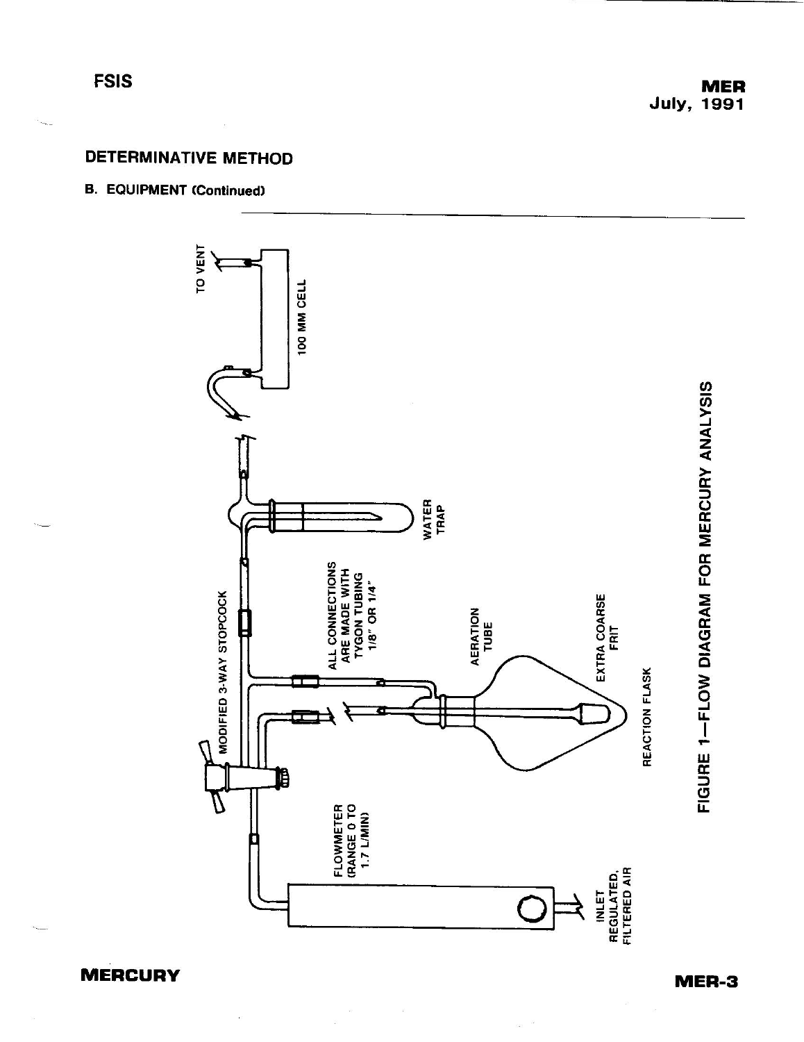**FSIS** 

# **DETERMINATIVE METHOD**

# **B. EQUIPMENT (Continued)**



 $\tilde{g}$ 

**MERCURY** 

MER-3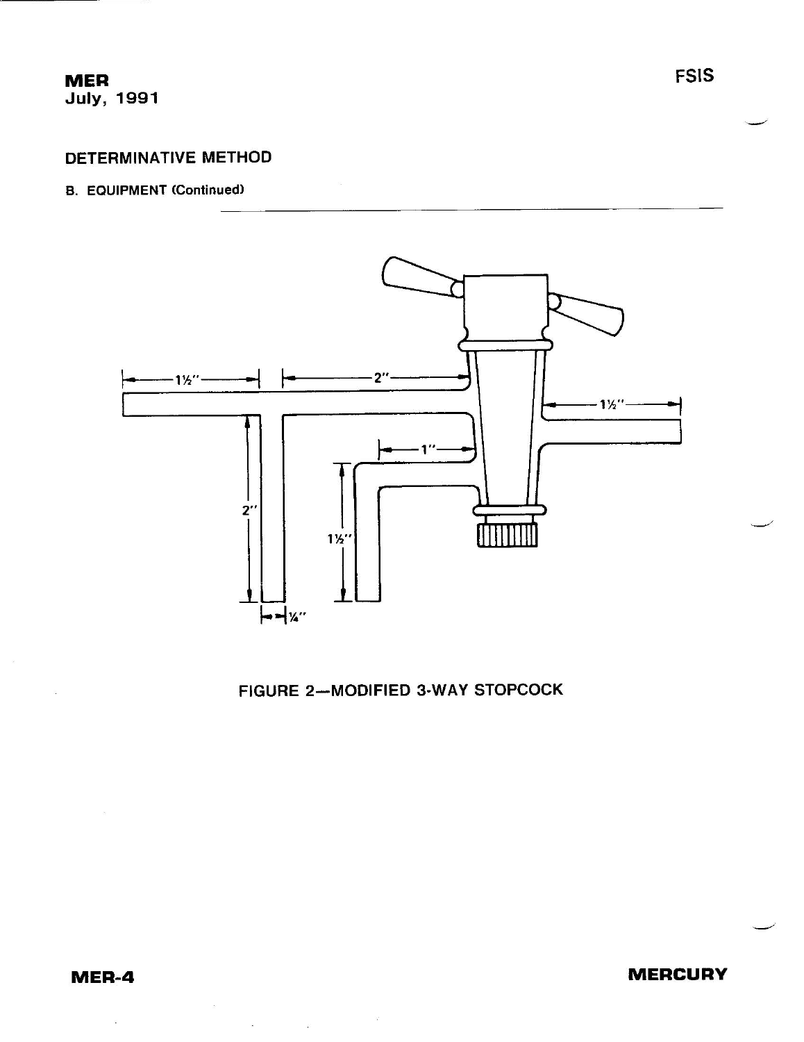# **MER July, 1991**

# **DETERMINATIVE METHOD**

#### **B. EQUIPMENT (Continued)**



# FIGURE 2-MODIFIED 3-WAY STOPCOCK

 $\mathcal{L}$ 

 $\label{eq:3.1} \begin{array}{cc} \mathcal{G}^{\dagger} & \mathcal{G}^{\dagger} \end{array}$ 

 $\overline{\omega}$ 

**MERCURY**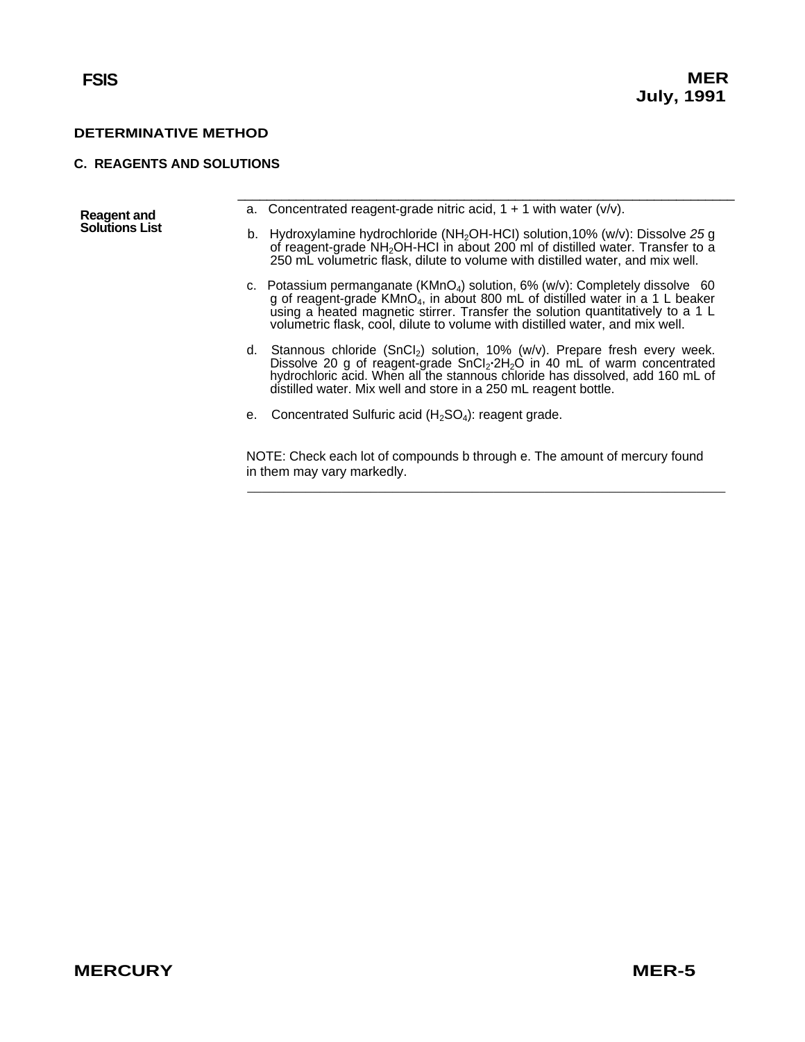#### <span id="page-5-0"></span>**C. REAGENTS AND SOLUTIONS**

| <b>Reagent and</b>    |    | a. Concentrated reagent-grade nitric acid, $1 + 1$ with water ( $v/v$ ).                                                                                                                                                                                                                                                                                 |
|-----------------------|----|----------------------------------------------------------------------------------------------------------------------------------------------------------------------------------------------------------------------------------------------------------------------------------------------------------------------------------------------------------|
| <b>Solutions List</b> |    | b. Hydroxylamine hydrochloride (NH <sub>2</sub> OH-HCI) solution, 10% (w/v): Dissolve 25 g<br>of reagent-grade NH <sub>2</sub> OH-HCl in about 200 ml of distilled water. Transfer to a<br>250 mL volumetric flask, dilute to volume with distilled water, and mix well.                                                                                 |
|                       |    | c. Potassium permanganate (KMnO <sub>4</sub> ) solution, 6% (w/v): Completely dissolve 60<br>g of reagent-grade KMnO <sub>4</sub> , in about 800 mL of distilled water in a 1 L beaker<br>using a heated magnetic stirrer. Transfer the solution quantitatively to a 1 L<br>volumetric flask, cool, dilute to volume with distilled water, and mix well. |
|                       |    | d. Stannous chloride $(SnCl_2)$ solution, 10% (w/v). Prepare fresh every week.<br>Dissolve 20 g of reagent-grade $SnCl2·2H2O$ in 40 mL of warm concentrated<br>hydrochloric acid. When all the stannous chloride has dissolved, add 160 mL of<br>distilled water. Mix well and store in a 250 mL reagent bottle.                                         |
|                       | е. | Concentrated Sulfuric acid $(H_2SO_4)$ : reagent grade.                                                                                                                                                                                                                                                                                                  |
|                       |    | NOTE: Check each lot of compounds b through e. The amount of mercury found<br>in them may vary markedly.                                                                                                                                                                                                                                                 |

 $\frac{1}{2}$  , and the set of the set of the set of the set of the set of the set of the set of the set of the set of the set of the set of the set of the set of the set of the set of the set of the set of the set of the set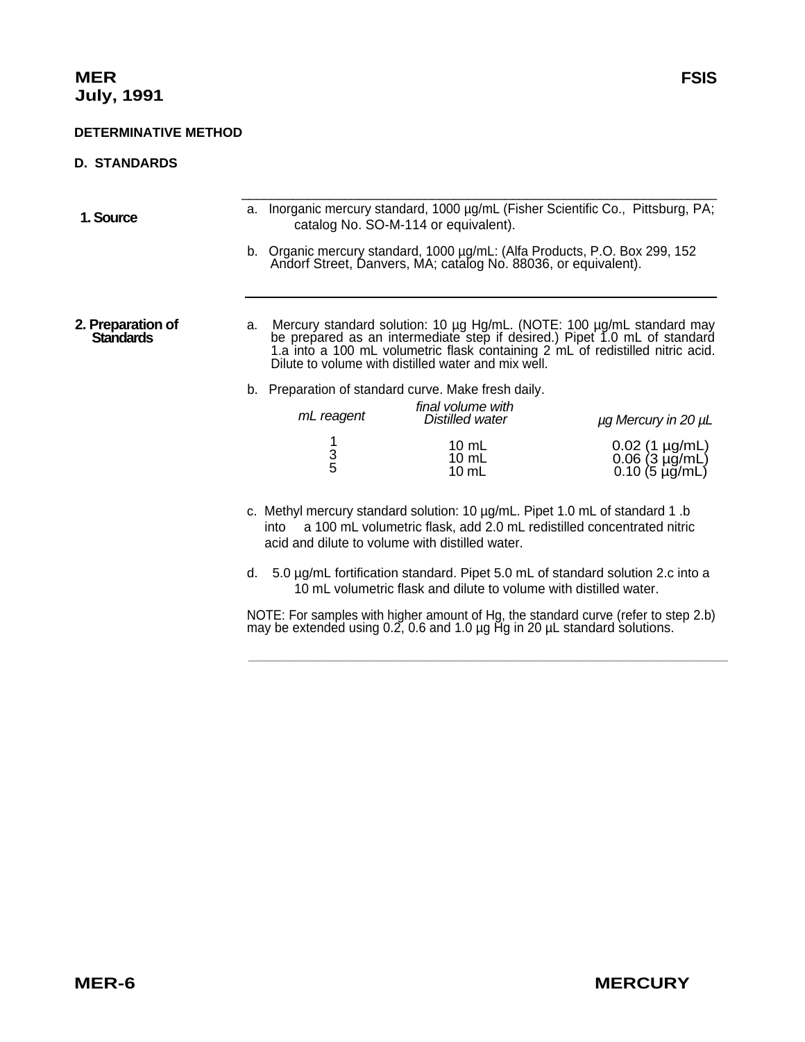#### <span id="page-6-0"></span>**D. STANDARDS**

- \_\_\_\_\_\_\_\_\_\_\_\_\_\_\_\_\_\_\_\_\_\_\_\_\_\_\_\_\_\_\_\_\_\_\_\_\_\_\_\_\_\_\_\_\_\_\_\_\_\_\_\_\_\_\_\_\_\_\_\_\_\_\_\_\_ 1. **Source a.** Inorganic mercury standard, 1000 µg/mL (Fisher Scientific Co., Pittsburg, PA; catalog No. SO-M-114 or equivalent).
	- b. Organic mercury standard, 1000 µg/mL: (Alfa Products, P.O. Box 299, 152 Andorf Street, Danvers, MA; catalog No. 88036, or equivalent).

**2. Preparation of** a. Mercury standard solution: 10 µg Hg/mL. (NOTE: 100 µg/mL standard may **Standards** be prepared as an intermediate step if desired.) Pipet 1.0 mL of standard 1.a into a 100 mL volumetric flask containing 2 mL of redistilled nitric acid. Dilute to volume with distilled water and mix well.

b. Preparation of standard curve. Make fresh daily.

| mL reagent | final volume with<br>Distilled water        | $\mu$ g Mercury in 20 $\mu$ L                      |
|------------|---------------------------------------------|----------------------------------------------------|
| 3<br>5     | 10 mL<br>$10 \text{ mL}$<br>$10 \text{ mL}$ | 0.02 (1 µg/mL)<br>0.06 (3 µg/mL)<br>0.10 (5 µg/mL) |

- c. Methyl mercury standard solution: 10 µg/mL. Pipet 1.0 mL of standard 1 .b into a 100 mL volumetric flask, add 2.0 mL redistilled concentrated nitric acid and dilute to volume with distilled water.
- d. 5.0 µg/mL fortification standard. Pipet 5.0 mL of standard solution 2.c into a 10 mL volumetric flask and dilute to volume with distilled water.

NOTE: For samples with higher amount of Hg, the standard curve (refer to step 2.b) may be extended using 0.2, 0.6 and 1.0 µg Hg in 20 µL standard solutions.

 **\_\_\_\_\_\_\_\_\_\_\_\_\_\_\_\_\_\_\_\_\_\_\_\_\_\_\_\_\_\_\_\_\_\_\_\_\_\_\_\_\_\_\_\_\_\_\_\_\_\_\_\_\_\_\_\_\_\_\_\_\_\_\_\_\_\_\_\_\_\_\_\_\_\_\_\_\_\_\_\_\_\_**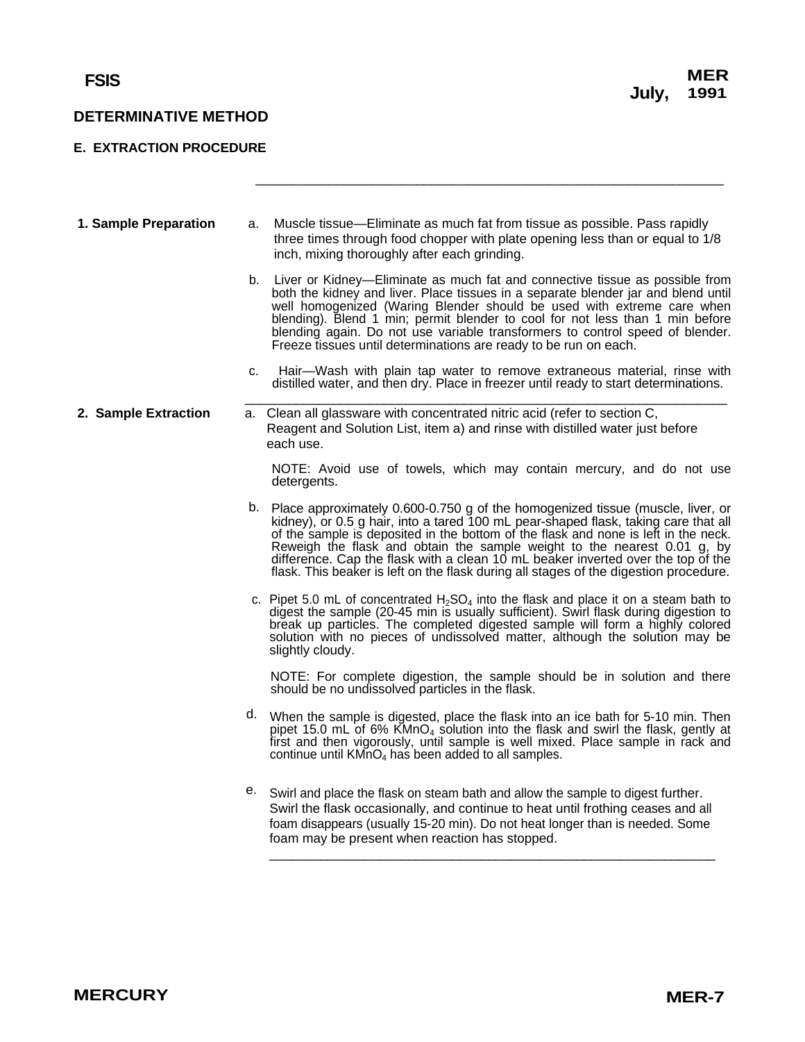### <span id="page-7-0"></span>**E. EXTRACTION PROCEDURE**

| 1. Sample Preparation | a. | Muscle tissue—Eliminate as much fat from tissue as possible. Pass rapidly<br>three times through food chopper with plate opening less than or equal to 1/8<br>inch, mixing thoroughly after each grinding.                                                                                                                                                                                                                                                                                                               |
|-----------------------|----|--------------------------------------------------------------------------------------------------------------------------------------------------------------------------------------------------------------------------------------------------------------------------------------------------------------------------------------------------------------------------------------------------------------------------------------------------------------------------------------------------------------------------|
|                       | b. | Liver or Kidney—Eliminate as much fat and connective tissue as possible from<br>both the kidney and liver. Place tissues in a separate blender jar and blend until<br>well homogenized (Waring Blender should be used with extreme care when<br>blending). Blend 1 min; permit blender to cool for not less than 1 min before<br>blending again. Do not use variable transformers to control speed of blender.<br>Freeze tissues until determinations are ready to be run on each.                                       |
|                       | c. | Hair—Wash with plain tap water to remove extraneous material, rinse with<br>distilled water, and then dry. Place in freezer until ready to start determinations.                                                                                                                                                                                                                                                                                                                                                         |
| 2. Sample Extraction  |    | a. Clean all glassware with concentrated nitric acid (refer to section C,<br>Reagent and Solution List, item a) and rinse with distilled water just before<br>each use.                                                                                                                                                                                                                                                                                                                                                  |
|                       |    | NOTE: Avoid use of towels, which may contain mercury, and do not use<br>detergents.                                                                                                                                                                                                                                                                                                                                                                                                                                      |
|                       |    | b. Place approximately 0.600-0.750 g of the homogenized tissue (muscle, liver, or<br>kidney), or 0.5 g hair, into a tared 100 mL pear-shaped flask, taking care that all<br>of the sample is deposited in the bottom of the flask and none is left in the neck.<br>Reweigh the flask and obtain the sample weight to the nearest 0.01 g, by<br>difference. Cap the flask with a clean 10 mL beaker inverted over the top of the<br>flask. This beaker is left on the flask during all stages of the digestion procedure. |
|                       |    | c. Pipet 5.0 mL of concentrated $H_2SO_4$ into the flask and place it on a steam bath to<br>digest the sample (20-45 min is usually sufficient). Swirl flask during digestion to<br>break up particles. The completed digested sample will form a highly colored<br>solution with no pieces of undissolved matter, although the solution may be<br>slightly cloudy.                                                                                                                                                      |
|                       |    | NOTE: For complete digestion, the sample should be in solution and there<br>should be no undissolved particles in the flask.                                                                                                                                                                                                                                                                                                                                                                                             |
|                       |    | d. When the sample is digested, place the flask into an ice bath for 5-10 min. Then<br>pipet 15.0 mL of 6% $\mathsf{KMnO}_4$ solution into the flask and swirl the flask, gently at<br>first and then vigorously, until sample is well mixed. Place sample in rack and<br>continue until KMnO <sub>4</sub> has been added to all samples.                                                                                                                                                                                |
|                       |    | e. Swirl and place the flask on steam bath and allow the sample to digest further.<br>Swirl the flask occasionally, and continue to heat until frothing ceases and all<br>foam disappears (usually 15-20 min). Do not heat longer than is needed. Some<br>foam may be present when reaction has stopped.                                                                                                                                                                                                                 |

\_\_\_\_\_\_\_\_\_\_\_\_\_\_\_\_\_\_\_\_\_\_\_\_\_\_\_\_\_\_\_\_\_\_\_\_\_\_\_\_\_\_\_\_\_\_\_\_\_\_\_\_\_\_\_\_\_\_\_\_\_\_\_\_

\_\_\_\_\_\_\_\_\_\_\_\_\_\_\_\_\_\_\_\_\_\_\_\_\_\_\_\_\_\_\_\_\_\_\_\_\_\_\_\_\_\_\_\_\_\_\_\_\_\_\_\_\_\_\_\_\_\_\_\_\_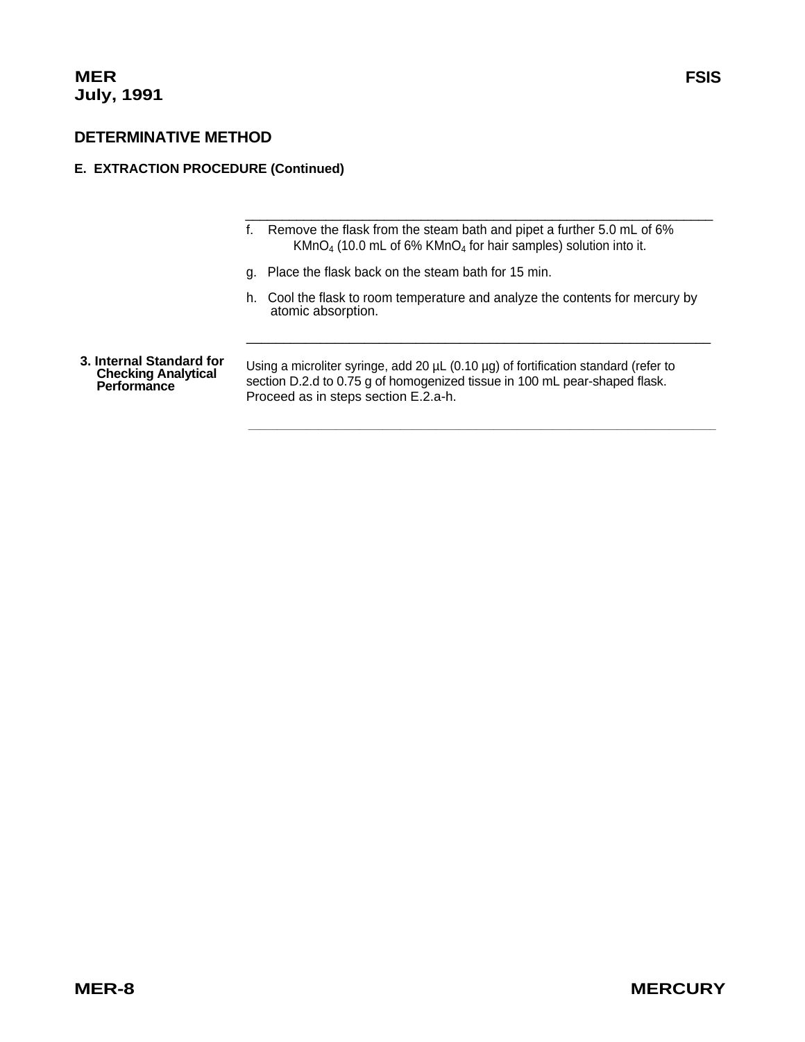## **E. EXTRACTION PROCEDURE (Continued)**

- f. Remove the flask from the steam bath and pipet a further 5.0 mL of 6%  $KMnO<sub>4</sub>$  (10.0 mL of 6%  $KMnO<sub>4</sub>$  for hair samples) solution into it.
- g. Place the flask back on the steam bath for 15 min.
- h. Cool the flask to room temperature and analyze the contents for mercury by atomic absorption.

 **\_\_\_\_\_\_\_\_\_\_\_\_\_\_\_\_\_\_\_\_\_\_\_\_\_\_\_\_\_\_\_\_\_\_\_\_\_\_\_\_\_\_\_\_\_\_\_\_\_\_\_\_\_\_\_\_\_\_\_\_\_\_\_\_\_\_\_\_\_\_\_\_\_\_\_\_\_\_\_\_** 

 $\overline{\phantom{a}}$  ,  $\overline{\phantom{a}}$  ,  $\overline{\phantom{a}}$  ,  $\overline{\phantom{a}}$  ,  $\overline{\phantom{a}}$  ,  $\overline{\phantom{a}}$  ,  $\overline{\phantom{a}}$  ,  $\overline{\phantom{a}}$  ,  $\overline{\phantom{a}}$  ,  $\overline{\phantom{a}}$  ,  $\overline{\phantom{a}}$  ,  $\overline{\phantom{a}}$  ,  $\overline{\phantom{a}}$  ,  $\overline{\phantom{a}}$  ,  $\overline{\phantom{a}}$  ,  $\overline{\phantom{a}}$ 

\_\_\_\_\_\_\_\_\_\_\_\_\_\_\_\_\_\_\_\_\_\_\_\_\_\_\_\_\_\_\_\_\_\_\_\_\_\_\_\_\_\_\_\_\_\_\_\_\_\_\_\_\_\_\_\_\_\_\_\_\_\_\_

3. Internal Standard for<br>Checking Analytical Using a microliter syringe, add 20 µL (0.10 µg) of fortification standard (refer to<br>Performance section D.2.d to 0.75 g of homogenized tissue in 100 mL pear-shaped flask. Proceed as in steps section E.2.a-h.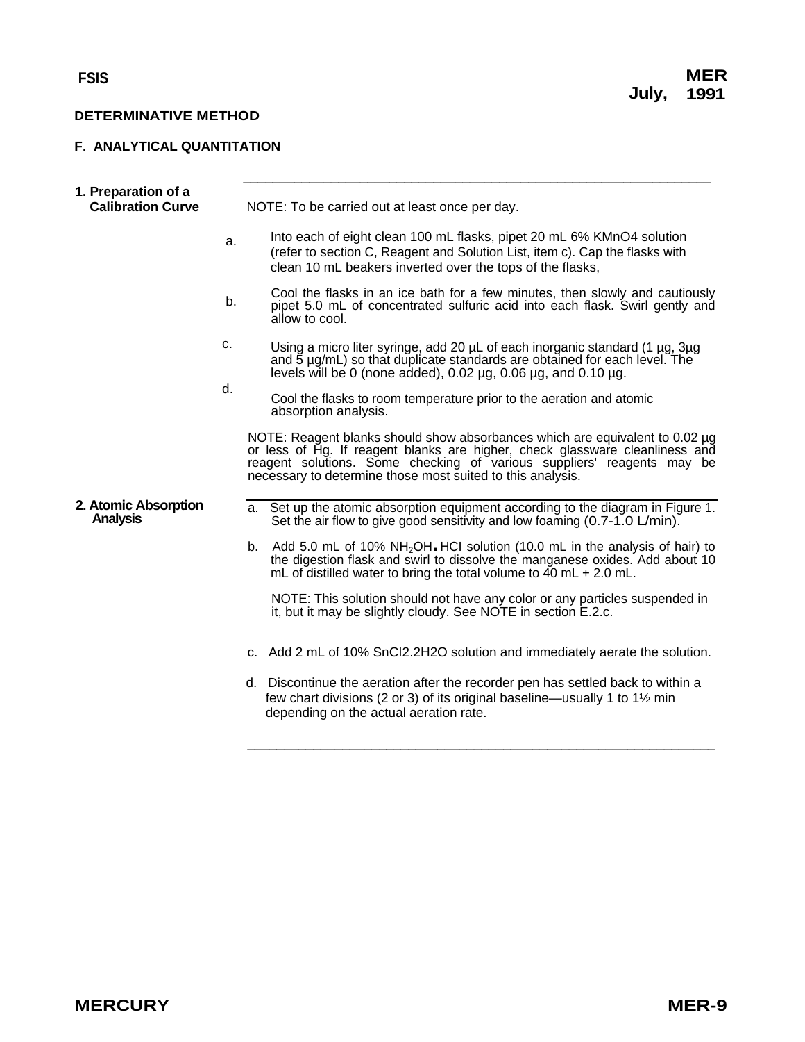## <span id="page-9-0"></span>**F. ANALYTICAL QUANTITATION**

|          | 1. Preparation of a<br><b>Calibration Curve</b> | NOTE: To be carried out at least once per day.                                                     |                                                                                                                                                                                                                                                                                                      |  |  |  |
|----------|-------------------------------------------------|----------------------------------------------------------------------------------------------------|------------------------------------------------------------------------------------------------------------------------------------------------------------------------------------------------------------------------------------------------------------------------------------------------------|--|--|--|
|          | a.                                              |                                                                                                    | Into each of eight clean 100 mL flasks, pipet 20 mL 6% KMnO4 solution<br>(refer to section C, Reagent and Solution List, item c). Cap the flasks with<br>clean 10 mL beakers inverted over the tops of the flasks,                                                                                   |  |  |  |
| b.<br>c. |                                                 |                                                                                                    | Cool the flasks in an ice bath for a few minutes, then slowly and cautiously<br>pipet 5.0 mL of concentrated sulfuric acid into each flask. Swirl gently and<br>allow to cool.                                                                                                                       |  |  |  |
|          |                                                 |                                                                                                    | Using a micro liter syringe, add 20 µL of each inorganic standard (1 µg, 3µg<br>and 5 µg/mL) so that duplicate standards are obtained for each level. The<br>levels will be 0 (none added), 0.02 $\mu$ g, 0.06 $\mu$ g, and 0.10 $\mu$ g.                                                            |  |  |  |
|          |                                                 | d.<br>Cool the flasks to room temperature prior to the aeration and atomic<br>absorption analysis. |                                                                                                                                                                                                                                                                                                      |  |  |  |
|          |                                                 |                                                                                                    | NOTE: Reagent blanks should show absorbances which are equivalent to 0.02 µg<br>or less of Hg. If reagent blanks are higher, check glassware cleanliness and<br>reagent solutions. Some checking of various suppliers' reagents may be<br>necessary to determine those most suited to this analysis. |  |  |  |
|          | 2. Atomic Absorption<br><b>Analysis</b>         |                                                                                                    | a. Set up the atomic absorption equipment according to the diagram in Figure 1.<br>Set the air flow to give good sensitivity and low foaming (0.7-1.0 L/min).                                                                                                                                        |  |  |  |
|          |                                                 | b.                                                                                                 | Add 5.0 mL of 10% NH <sub>2</sub> OH HCI solution (10.0 mL in the analysis of hair) to<br>the digestion flask and swirl to dissolve the manganese oxides. Add about 10<br>mL of distilled water to bring the total volume to $40$ mL + 2.0 mL.                                                       |  |  |  |
|          |                                                 |                                                                                                    | NOTE: This solution should not have any color or any particles suspended in<br>it, but it may be slightly cloudy. See NOTE in section E.2.c.                                                                                                                                                         |  |  |  |
|          |                                                 |                                                                                                    | c. Add 2 mL of 10% SnCl2.2H2O solution and immediately aerate the solution.                                                                                                                                                                                                                          |  |  |  |
|          |                                                 |                                                                                                    | d. Discontinue the aeration after the recorder pen has settled back to within a<br>few chart divisions (2 or 3) of its original baseline—usually 1 to 1 <sup>1</sup> / <sub>2</sub> min<br>depending on the actual aeration rate.                                                                    |  |  |  |
|          |                                                 |                                                                                                    |                                                                                                                                                                                                                                                                                                      |  |  |  |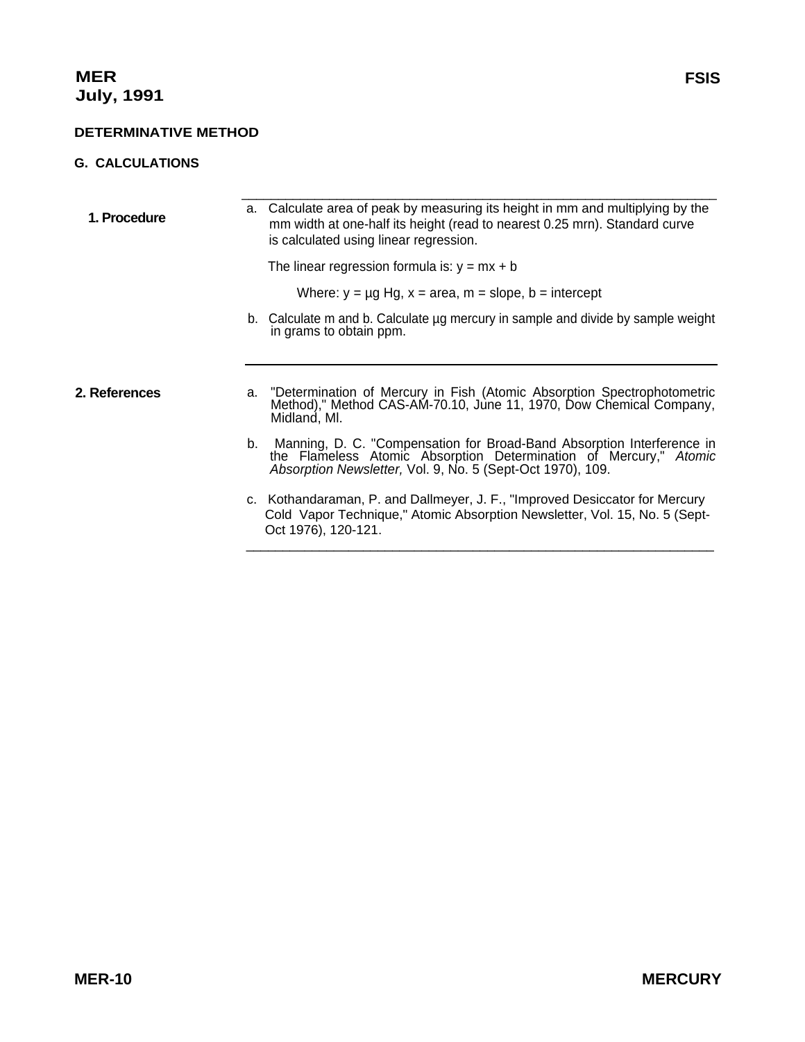## <span id="page-10-0"></span>**G. CALCULATIONS**

| 1. Procedure  | a. Calculate area of peak by measuring its height in mm and multiplying by the<br>mm width at one-half its height (read to nearest 0.25 mrn). Standard curve<br>is calculated using linear regression.       |
|---------------|--------------------------------------------------------------------------------------------------------------------------------------------------------------------------------------------------------------|
|               | The linear regression formula is: $y = mx + b$                                                                                                                                                               |
|               | Where: $y = \mu g$ Hg, $x = \text{area}$ , $m = \text{slope}$ , $b = \text{intercept}$                                                                                                                       |
|               | b. Calculate m and b. Calculate ug mercury in sample and divide by sample weight<br>in grams to obtain ppm.                                                                                                  |
|               |                                                                                                                                                                                                              |
| 2. References | a. "Determination of Mercury in Fish (Atomic Absorption Spectrophotometric<br>Method)," Method CAS-AM-70.10, June 11, 1970, Dow Chemical Company,<br>Midland, MI.                                            |
|               | b. Manning, D. C. "Compensation for Broad-Band Absorption Interference in<br>the Flameless Atomic Absorption Determination of Mercury," Atomic<br>Absorption Newsletter, Vol. 9, No. 5 (Sept-Oct 1970), 109. |
|               | c. Kothandaraman, P. and Dallmeyer, J. F., "Improved Desiccator for Mercury"<br>Cold Vapor Technique," Atomic Absorption Newsletter, Vol. 15, No. 5 (Sept-<br>Oct 1976), 120-121.                            |
|               |                                                                                                                                                                                                              |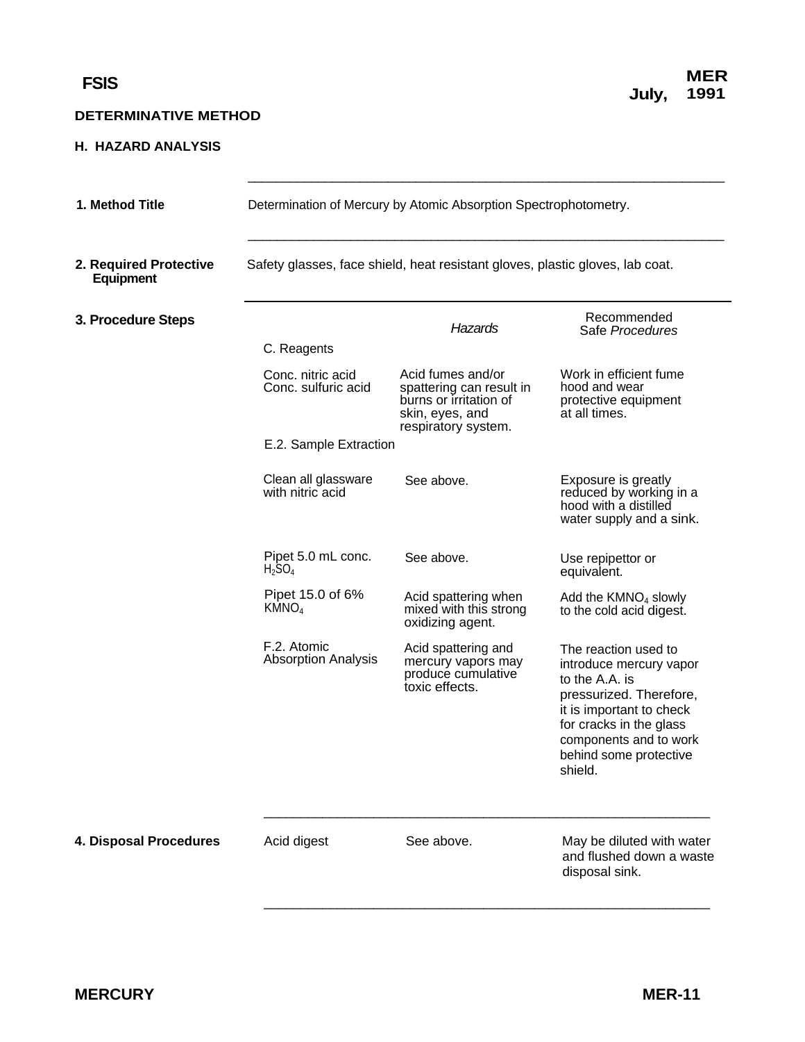### <span id="page-11-0"></span>**H. HAZARD ANALYSIS**

| 1. Method Title                     | Determination of Mercury by Atomic Absorption Spectrophotometry. |                                                                                                                   |                                                                                                                                                                                                                    |  |  |  |  |  |
|-------------------------------------|------------------------------------------------------------------|-------------------------------------------------------------------------------------------------------------------|--------------------------------------------------------------------------------------------------------------------------------------------------------------------------------------------------------------------|--|--|--|--|--|
| 2. Required Protective<br>Equipment |                                                                  | Safety glasses, face shield, heat resistant gloves, plastic gloves, lab coat.                                     |                                                                                                                                                                                                                    |  |  |  |  |  |
| 3. Procedure Steps                  |                                                                  | <b>Hazards</b>                                                                                                    | Recommended<br>Safe Procedures                                                                                                                                                                                     |  |  |  |  |  |
|                                     | C. Reagents<br>Conc. nitric acid<br>Conc. sulfuric acid          | Acid fumes and/or<br>spattering can result in<br>burns or irritation of<br>skin, eyes, and<br>respiratory system. | Work in efficient fume<br>hood and wear<br>protective equipment<br>at all times.                                                                                                                                   |  |  |  |  |  |
|                                     |                                                                  | E.2. Sample Extraction                                                                                            |                                                                                                                                                                                                                    |  |  |  |  |  |
|                                     | Clean all glassware<br>with nitric acid                          | See above.                                                                                                        | Exposure is greatly<br>reduced by working in a<br>hood with a distilled<br>water supply and a sink.                                                                                                                |  |  |  |  |  |
|                                     | Pipet 5.0 mL conc.<br>$H_2SO_4$                                  | See above.                                                                                                        | Use repipettor or<br>equivalent.                                                                                                                                                                                   |  |  |  |  |  |
|                                     | Pipet 15.0 of 6%<br>KMNO <sub>4</sub>                            | Acid spattering when<br>mixed with this strong<br>oxidizing agent.                                                | Add the $KMNO4$ slowly<br>to the cold acid digest.                                                                                                                                                                 |  |  |  |  |  |
|                                     | F.2. Atomic<br><b>Absorption Analysis</b>                        | Acid spattering and<br>mercury vapors may<br>produce cumulative<br>toxic effects.                                 | The reaction used to<br>introduce mercury vapor<br>to the A.A. is<br>pressurized. Therefore,<br>it is important to check<br>for cracks in the glass<br>components and to work<br>behind some protective<br>shield. |  |  |  |  |  |
| 4. Disposal Procedures              | Acid digest                                                      | See above.                                                                                                        | May be diluted with water<br>and flushed down a waste<br>disposal sink.                                                                                                                                            |  |  |  |  |  |

 $\frac{1}{2}$  ,  $\frac{1}{2}$  ,  $\frac{1}{2}$  ,  $\frac{1}{2}$  ,  $\frac{1}{2}$  ,  $\frac{1}{2}$  ,  $\frac{1}{2}$  ,  $\frac{1}{2}$  ,  $\frac{1}{2}$  ,  $\frac{1}{2}$  ,  $\frac{1}{2}$  ,  $\frac{1}{2}$  ,  $\frac{1}{2}$  ,  $\frac{1}{2}$  ,  $\frac{1}{2}$  ,  $\frac{1}{2}$  ,  $\frac{1}{2}$  ,  $\frac{1}{2}$  ,  $\frac{1$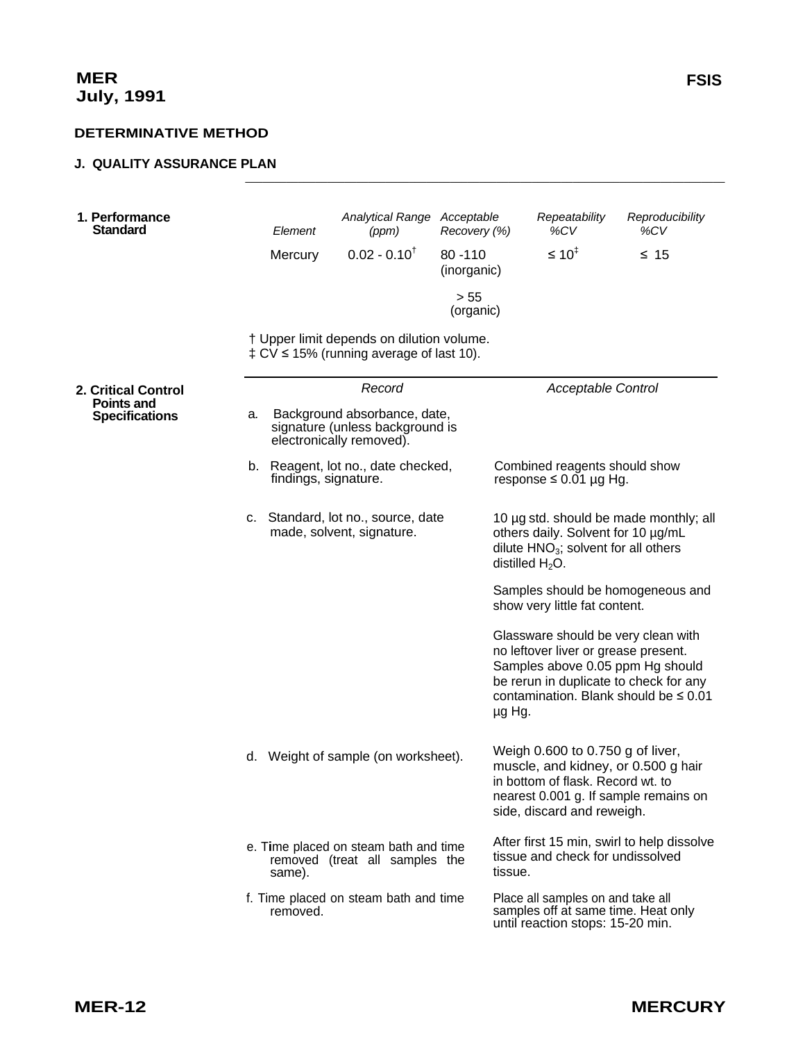## <span id="page-12-0"></span>**J. QUALITY ASSURANCE PLAN**

| 1. Performance<br><b>Standard</b>          |    | Element<br>Mercury   | Analytical Range Acceptable<br>(ppm)<br>$0.02 - 0.10^{T}$                                      | Recovery (%)<br>$80 - 110$<br>(inorganic) |                    | Repeatability<br>%CV<br>$\leq 10^{4}$                                                                        | Reproducibility<br>%CV<br>$\leq 15$                                                                                                                        |
|--------------------------------------------|----|----------------------|------------------------------------------------------------------------------------------------|-------------------------------------------|--------------------|--------------------------------------------------------------------------------------------------------------|------------------------------------------------------------------------------------------------------------------------------------------------------------|
|                                            |    |                      |                                                                                                | > 55<br>(organic)                         |                    |                                                                                                              |                                                                                                                                                            |
|                                            |    |                      | † Upper limit depends on dilution volume.<br>$\pm$ CV $\leq$ 15% (running average of last 10). |                                           |                    |                                                                                                              |                                                                                                                                                            |
| <b>2. Critical Control</b>                 |    |                      | Record                                                                                         |                                           |                    | <b>Acceptable Control</b>                                                                                    |                                                                                                                                                            |
| <b>Points and</b><br><b>Specifications</b> | a. |                      | Background absorbance, date,<br>signature (unless background is<br>electronically removed).    |                                           |                    |                                                                                                              |                                                                                                                                                            |
|                                            |    | findings, signature. | b. Reagent, lot no., date checked,                                                             |                                           |                    | Combined reagents should show<br>response $\leq 0.01$ µg Hg.                                                 |                                                                                                                                                            |
|                                            |    |                      | c. Standard, lot no., source, date<br>made, solvent, signature.                                |                                           | distilled $H_2O$ . | others daily. Solvent for 10 µg/mL<br>dilute $HNO3$ ; solvent for all others                                 | 10 µg std. should be made monthly; all                                                                                                                     |
|                                            |    |                      |                                                                                                |                                           |                    | show very little fat content.                                                                                | Samples should be homogeneous and                                                                                                                          |
|                                            |    |                      |                                                                                                |                                           | µg Hg.             | no leftover liver or grease present.                                                                         | Glassware should be very clean with<br>Samples above 0.05 ppm Hg should<br>be rerun in duplicate to check for any<br>contamination. Blank should be ≤ 0.01 |
|                                            |    |                      | d. Weight of sample (on worksheet).                                                            |                                           |                    | Weigh 0.600 to 0.750 g of liver,<br>in bottom of flask. Record wt. to<br>side, discard and reweigh.          | muscle, and kidney, or 0.500 g hair<br>nearest 0.001 g. If sample remains on                                                                               |
|                                            |    | same).               | e. Time placed on steam bath and time<br>removed (treat all samples the                        |                                           | tissue.            | tissue and check for undissolved                                                                             | After first 15 min, swirl to help dissolve                                                                                                                 |
|                                            |    | removed.             | f. Time placed on steam bath and time                                                          |                                           |                    | Place all samples on and take all<br>samples off at same time. Heat only<br>until reaction stops: 15-20 min. |                                                                                                                                                            |

 $\frac{1}{2}$  ,  $\frac{1}{2}$  ,  $\frac{1}{2}$  ,  $\frac{1}{2}$  ,  $\frac{1}{2}$  ,  $\frac{1}{2}$  ,  $\frac{1}{2}$  ,  $\frac{1}{2}$  ,  $\frac{1}{2}$  ,  $\frac{1}{2}$  ,  $\frac{1}{2}$  ,  $\frac{1}{2}$  ,  $\frac{1}{2}$  ,  $\frac{1}{2}$  ,  $\frac{1}{2}$  ,  $\frac{1}{2}$  ,  $\frac{1}{2}$  ,  $\frac{1}{2}$  ,  $\frac{1$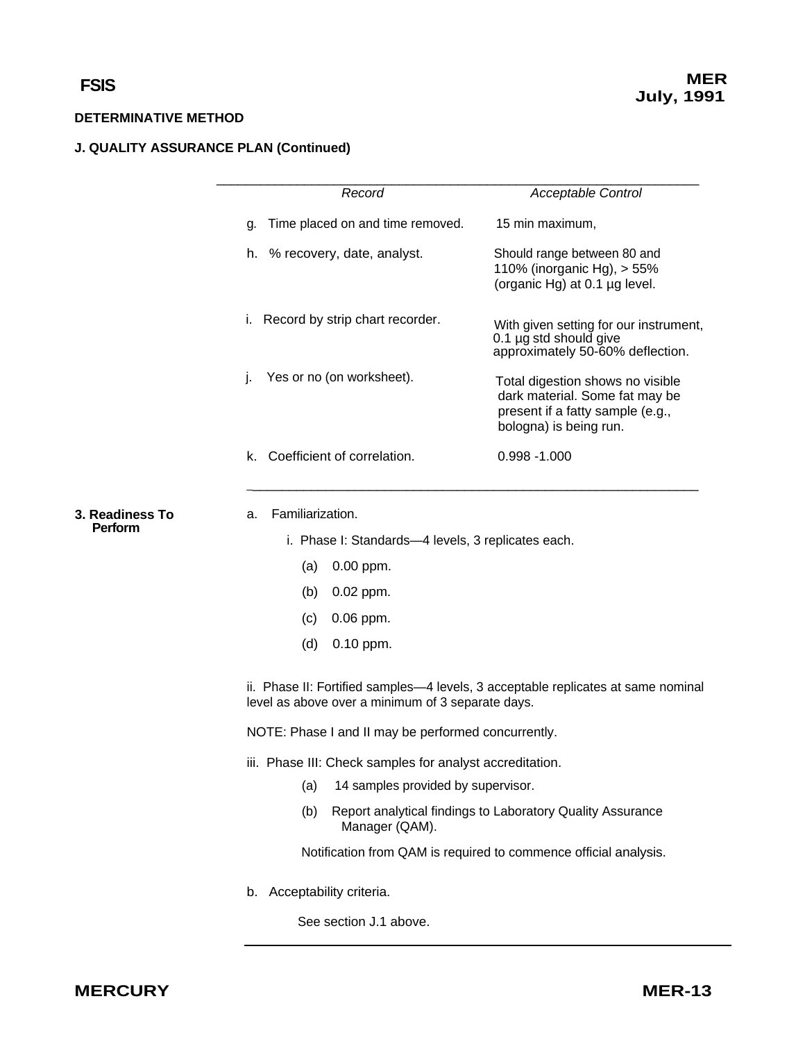# **J. QUALITY ASSURANCE PLAN (Continued)**

|                            | Record                                                                                                                                 | <b>Acceptable Control</b>                                                                                                        |  |  |  |  |
|----------------------------|----------------------------------------------------------------------------------------------------------------------------------------|----------------------------------------------------------------------------------------------------------------------------------|--|--|--|--|
|                            | Time placed on and time removed.<br>g.                                                                                                 | 15 min maximum,                                                                                                                  |  |  |  |  |
|                            | h. % recovery, date, analyst.                                                                                                          | Should range between 80 and<br>110% (inorganic Hg), > 55%<br>(organic Hg) at 0.1 µg level.                                       |  |  |  |  |
|                            | Record by strip chart recorder.<br>i.                                                                                                  | With given setting for our instrument,<br>0.1 µg std should give<br>approximately 50-60% deflection.                             |  |  |  |  |
|                            | Yes or no (on worksheet).<br>j.                                                                                                        | Total digestion shows no visible<br>dark material. Some fat may be<br>present if a fatty sample (e.g.,<br>bologna) is being run. |  |  |  |  |
|                            | Coefficient of correlation.<br>k.                                                                                                      | $0.998 - 1.000$                                                                                                                  |  |  |  |  |
| 3. Readiness To<br>Perform | Familiarization.<br>a.                                                                                                                 |                                                                                                                                  |  |  |  |  |
|                            | i. Phase I: Standards-4 levels, 3 replicates each.                                                                                     |                                                                                                                                  |  |  |  |  |
|                            | (a)<br>$0.00$ ppm.                                                                                                                     |                                                                                                                                  |  |  |  |  |
|                            | 0.02 ppm.<br>(b)                                                                                                                       |                                                                                                                                  |  |  |  |  |
|                            | $0.06$ ppm.<br>(c)                                                                                                                     |                                                                                                                                  |  |  |  |  |
|                            | (d)<br>0.10 ppm.                                                                                                                       |                                                                                                                                  |  |  |  |  |
|                            | ii. Phase II: Fortified samples—4 levels, 3 acceptable replicates at same nominal<br>level as above over a minimum of 3 separate days. |                                                                                                                                  |  |  |  |  |
|                            | NOTE: Phase I and II may be performed concurrently.                                                                                    |                                                                                                                                  |  |  |  |  |
|                            | iii. Phase III: Check samples for analyst accreditation.                                                                               |                                                                                                                                  |  |  |  |  |
|                            | 14 samples provided by supervisor.<br>(a)                                                                                              |                                                                                                                                  |  |  |  |  |
|                            | (b)<br>Manager (QAM).                                                                                                                  | Report analytical findings to Laboratory Quality Assurance                                                                       |  |  |  |  |
|                            |                                                                                                                                        | Notification from QAM is required to commence official analysis.                                                                 |  |  |  |  |
|                            | Acceptability criteria.<br>b.                                                                                                          |                                                                                                                                  |  |  |  |  |

See section J.1 above.